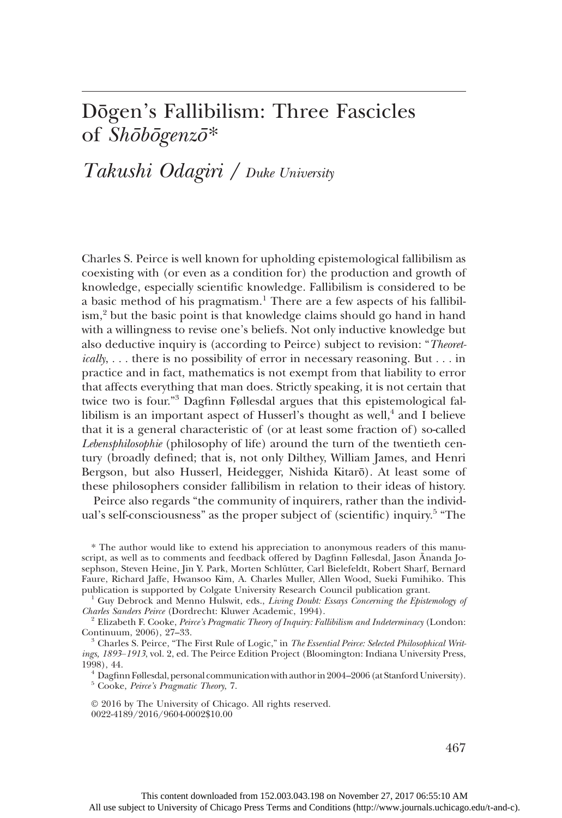## Dōgen's Fallibilism: Three Fascicles of Shōbōgenzō\*

# Takushi Odagiri / Duke University

Charles S. Peirce is well known for upholding epistemological fallibilism as coexisting with (or even as a condition for) the production and growth of knowledge, especially scientific knowledge. Fallibilism is considered to be a basic method of his pragmatism.<sup>1</sup> There are a few aspects of his fallibilism,<sup>2</sup> but the basic point is that knowledge claims should go hand in hand with a willingness to revise one's beliefs. Not only inductive knowledge but also deductive inquiry is (according to Peirce) subject to revision: "Theoretically, ... there is no possibility of error in necessary reasoning. But ... in practice and in fact, mathematics is not exempt from that liability to error that affects everything that man does. Strictly speaking, it is not certain that twice two is four." <sup>3</sup> Dagfinn Føllesdal argues that this epistemological fallibilism is an important aspect of Husserl's thought as well, $4$  and I believe that it is a general characteristic of (or at least some fraction of) so-called Lebensphilosophie (philosophy of life) around the turn of the twentieth century (broadly defined; that is, not only Dilthey, William James, and Henri Bergson, but also Husserl, Heidegger, Nishida Kitarō). At least some of these philosophers consider fallibilism in relation to their ideas of history.

Peirce also regards "the community of inquirers, rather than the individual's self-consciousness" as the proper subject of (scientific) inquiry.<sup>5</sup> "The

\* The author would like to extend his appreciation to anonymous readers of this manuscript, as well as to comments and feedback offered by Dagfinn Føllesdal, Jason Ānanda Josephson, Steven Heine, Jin Y. Park, Morten Schlütter, Carl Bielefeldt, Robert Sharf, Bernard Faure, Richard Jaffe, Hwansoo Kim, A. Charles Muller, Allen Wood, Sueki Fumihiko. This publication is supported by Colgate University Research Council publication grant.

<sup>1</sup> Guy Debrock and Menno Hulswit, eds., *Living Doubt: Essays Concerning the Epistemology of Charles Sanders Peirce* (Dordrecht: Kluwer Academic, 1994).

<sup>2</sup> Elizabeth F. Cooke, *Peirce's Pragmatic Theory of Inquiry: Fallibilism and Indeterminacy* (London: Continuum, 2006), 27-33.

 $^3$  Charles S. Peirce, "The First Rule of Logic," in The Essential Peirce: Selected Philosophical Writings, 1893–1913, vol. 2, ed. The Peirce Edition Project (Bloomington: Indiana University Press, 1998), 44.

 $^4$  Dagfinn Føllesdal, personal communication with author in 2004–2006 (at Stanford University).  $^5$  Cooke,  $\it{Peire}$  's Pragmatic Theory, 7.

© 2016 by The University of Chicago. All rights reserved. 0022-4189/2016/9604-0002\$10.00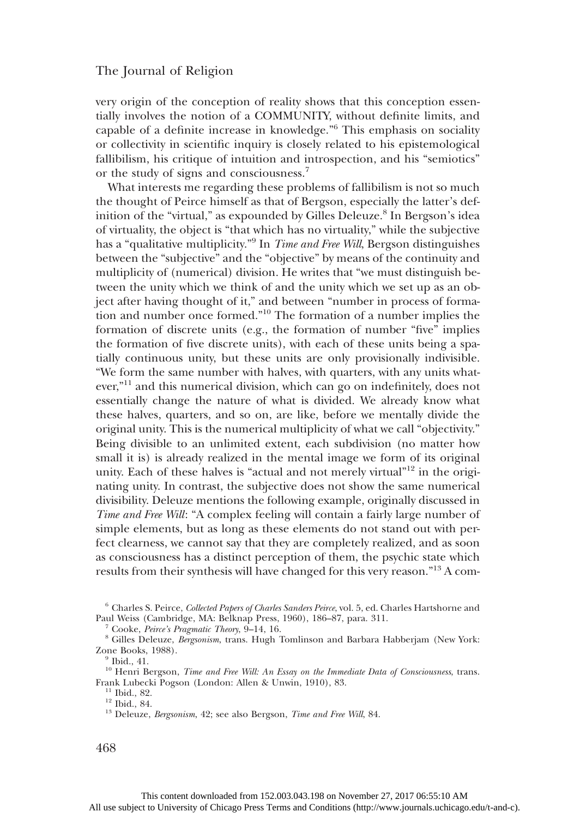very origin of the conception of reality shows that this conception essentially involves the notion of a COMMUNITY, without definite limits, and capable of a definite increase in knowledge." <sup>6</sup> This emphasis on sociality or collectivity in scientific inquiry is closely related to his epistemological fallibilism, his critique of intuition and introspection, and his "semiotics" or the study of signs and consciousness.<sup>7</sup>

What interests me regarding these problems of fallibilism is not so much the thought of Peirce himself as that of Bergson, especially the latter's definition of the "virtual," as expounded by Gilles Deleuze.<sup>8</sup> In Bergson's idea of virtuality, the object is "that which has no virtuality," while the subjective has a "qualitative multiplicity."<sup>9</sup> In *Time and Free Will*, Bergson distinguishes between the "subjective" and the "objective" by means of the continuity and multiplicity of (numerical) division. He writes that "we must distinguish between the unity which we think of and the unity which we set up as an object after having thought of it," and between "number in process of formation and number once formed." <sup>10</sup> The formation of a number implies the formation of discrete units (e.g., the formation of number "five" implies the formation of five discrete units), with each of these units being a spatially continuous unity, but these units are only provisionally indivisible. "We form the same number with halves, with quarters, with any units whatever,"<sup>11</sup> and this numerical division, which can go on indefinitely, does not essentially change the nature of what is divided. We already know what these halves, quarters, and so on, are like, before we mentally divide the original unity. This is the numerical multiplicity of what we call "objectivity." Being divisible to an unlimited extent, each subdivision (no matter how small it is) is already realized in the mental image we form of its original unity. Each of these halves is "actual and not merely virtual"<sup>12</sup> in the originating unity. In contrast, the subjective does not show the same numerical divisibility. Deleuze mentions the following example, originally discussed in Time and Free Will: "A complex feeling will contain a fairly large number of simple elements, but as long as these elements do not stand out with perfect clearness, we cannot say that they are completely realized, and as soon as consciousness has a distinct perception of them, the psychic state which results from their synthesis will have changed for this very reason."<sup>13</sup> A com-

 $^6$  Charles S. Peirce, *Collected Papers of Charles Sanders Peirce*, vol. 5, ed. Charles Hartshorne and Paul Weiss (Cambridge, MA: Belknap Press, 1960), 186–87, para. 311.

<sup>&</sup>lt;sup>7</sup> Cooke, Peirce's Pragmatic Theory, 9–14, 16.<br><sup>8</sup> Gilles Deleuze, *Bergsonism*, trans. Hugh Tomlinson and Barbara Habberjam (New York: Zone Books, 1988).  $\frac{9}{9}$  Ibid., 41.

<sup>10</sup> Henri Bergson, *Time and Free Will: An Essay on the Immediate Data of Consciousness*, trans.<br>Frank Lubecki Pogson (London: Allen & Unwin, 1910), 83.

<sup>&</sup>lt;sup>11</sup> Ibid., 82.<br><sup>12</sup> Ibid., 84.<br><sup>13</sup> Deleuze, *Bergsonism*, 42; see also Bergson, *Time and Free Will*, 84.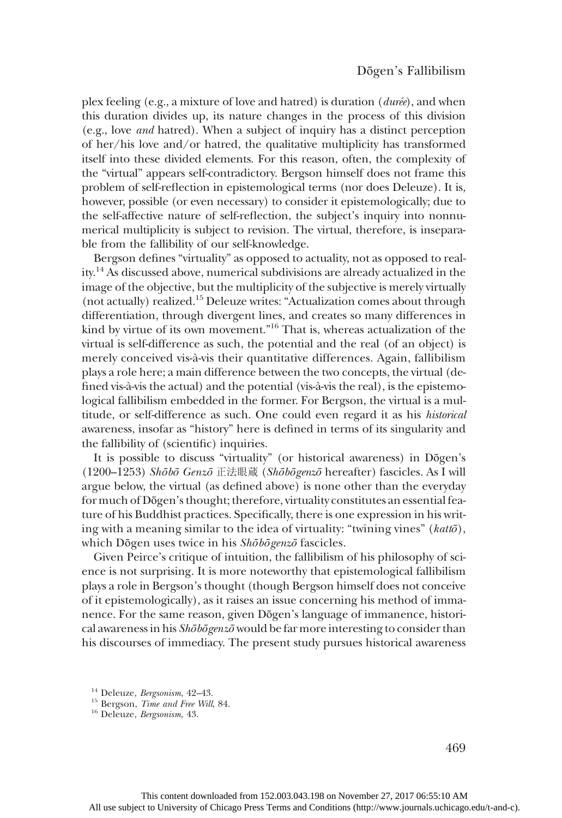plex feeling (e.g., a mixture of love and hatred) is duration (durée), and when this duration divides up, its nature changes in the process of this division (e.g., love and hatred). When a subject of inquiry has a distinct perception of her/his love and/or hatred, the qualitative multiplicity has transformed itself into these divided elements. For this reason, often, the complexity of the "virtual" appears self-contradictory. Bergson himself does not frame this problem of self-reflection in epistemological terms (nor does Deleuze). It is, however, possible (or even necessary) to consider it epistemologically; due to the self-affective nature of self-reflection, the subject's inquiry into nonnumerical multiplicity is subject to revision. The virtual, therefore, is inseparable from the fallibility of our self-knowledge.

Bergson defines "virtuality" as opposed to actuality, not as opposed to reality.14 As discussed above, numerical subdivisions are already actualized in the image of the objective, but the multiplicity of the subjective is merely virtually (not actually) realized.15 Deleuze writes: "Actualization comes about through differentiation, through divergent lines, and creates so many differences in kind by virtue of its own movement." <sup>16</sup> That is, whereas actualization of the virtual is self-difference as such, the potential and the real (of an object) is merely conceived vis-à-vis their quantitative differences. Again, fallibilism plays a role here; a main difference between the two concepts, the virtual (defined vis-à-vis the actual) and the potential (vis-à-vis the real), is the epistemological fallibilism embedded in the former. For Bergson, the virtual is a multitude, or self-difference as such. One could even regard it as his historical awareness, insofar as "history" here is defined in terms of its singularity and the fallibility of (scientific) inquiries.

It is possible to discuss "virtuality" (or historical awareness) in Dōgen's (1200–1253) Shōbō Genzō 正法眼蔵 (Shōbōgenzō hereafter) fascicles. As I will argue below, the virtual (as defined above) is none other than the everyday for much of Dōgen's thought; therefore, virtuality constitutes an essential feature of his Buddhist practices. Specifically, there is one expression in his writing with a meaning similar to the idea of virtuality: "twining vines" (kattō), which Dōgen uses twice in his Shōbōgenzō fascicles.

Given Peirce's critique of intuition, the fallibilism of his philosophy of science is not surprising. It is more noteworthy that epistemological fallibilism plays a role in Bergson's thought (though Bergson himself does not conceive of it epistemologically), as it raises an issue concerning his method of immanence. For the same reason, given Dōgen's language of immanence, historical awareness in his Shōbōgenzō would be far more interesting to consider than his discourses of immediacy. The present study pursues historical awareness

469

<sup>&</sup>lt;sup>14</sup> Deleuze, *Bergsonism*, 42–43.<br><sup>15</sup> Bergson, *Time and Free Will*, 84.<br><sup>16</sup> Deleuze, *Bergsonism*, 43.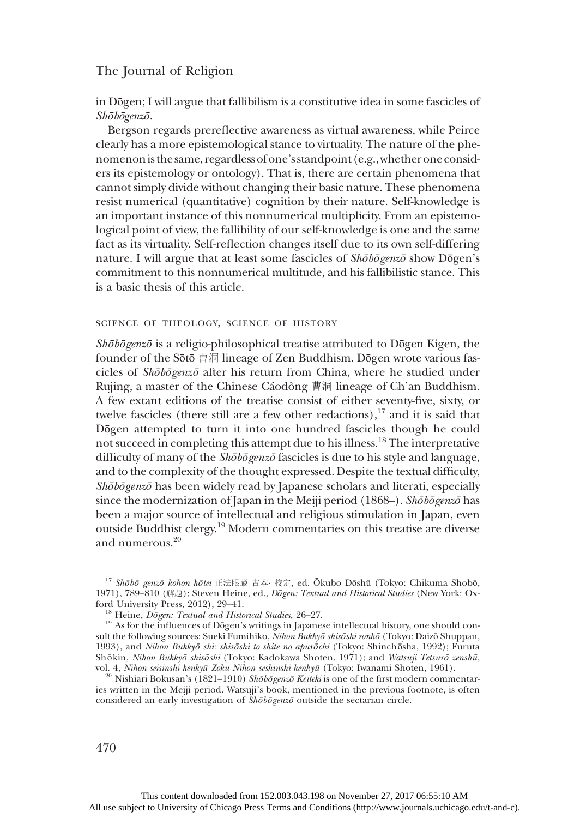in Dōgen; I will argue that fallibilism is a constitutive idea in some fascicles of Shōbōgenzō.

Bergson regards prereflective awareness as virtual awareness, while Peirce clearly has a more epistemological stance to virtuality. The nature of the phenomenonis the same, regardless of one's standpoint(e.g.,whether oneconsiders its epistemology or ontology). That is, there are certain phenomena that cannot simply divide without changing their basic nature. These phenomena resist numerical (quantitative) cognition by their nature. Self-knowledge is an important instance of this nonnumerical multiplicity. From an epistemological point of view, the fallibility of our self-knowledge is one and the same fact as its virtuality. Self-reflection changes itself due to its own self-differing nature. I will argue that at least some fascicles of Shōbōgenzō show Dōgen's commitment to this nonnumerical multitude, and his fallibilistic stance. This is a basic thesis of this article.

#### SCIENCE OF THEOLOGY, SCIENCE OF HISTORY

Shōbōgenzō is a religio-philosophical treatise attributed to Dōgen Kigen, the founder of the Sōtō 曹洞 lineage of Zen Buddhism. Dōgen wrote various fascicles of Shōbōgenzō after his return from China, where he studied under Rujing, a master of the Chinese Cáodòng 曹洞 lineage of Ch'an Buddhism. A few extant editions of the treatise consist of either seventy-five, sixty, or twelve fascicles (there still are a few other redactions),<sup>17</sup> and it is said that Dōgen attempted to turn it into one hundred fascicles though he could not succeed in completing this attempt due to his illness.18 The interpretative difficulty of many of the Shōbōgenzō fascicles is due to his style and language, and to the complexity of the thought expressed. Despite the textual difficulty, Shōbōgenzō has been widely read by Japanese scholars and literati, especially since the modernization of Japan in the Meiji period (1868–). Short Bologenzo has been a major source of intellectual and religious stimulation in Japan, even outside Buddhist clergy.19 Modern commentaries on this treatise are diverse and numerous.20

 $17$  Shōbō genzō kohon kōtei 正法眼蔵 古本· 校定, ed. Ōkubo Dōshū (Tokyo: Chikuma Shobō, 1971), 789-810 (解题); Steven Heine, ed., *Dōgen: Textual and Historical Studies* (New York: Oxford University Press, 2012), 29-41.

<sup>&</sup>lt;sup>18</sup> Heine, *Dōgen: Textual and Historical Studies*, 26–27. 19 As for the influences of Dōgen's writings in Japanese intellectual history, one should consult the following sources: Sueki Fumihiko, Nihon Bukkyō shisōshi ronkō (Tokyo: Daizō Shuppan, 1993), and Nihon Bukkyō shi: shisōshi to shite no apurōchi (Tokyo: Shinchōsha, 1992); Furuta Shōkin, Nihon Bukkyō shisōshi (Tokyo: Kadokawa Shoten, 1971); and Watsuji Tetsurō zenshū, vol. 4, Nihon seisinshi kenkyū Zoku Nihon seshinshi kenkyū Zoku Nihon seshinshi kenkyū Zoku Nihon seshinshi kenkyū Zoku Nihon seshin

<sup>&</sup>lt;sup>20</sup> Nishiari Bokusan's (1821–1910) Shōbōgenzō Keiteki is one of the first modern commentaries written in the Meiji period. Watsuji's book, mentioned in the previous footnote, is often considered an early investigation of Shōbōgenzō outside the sectarian circle.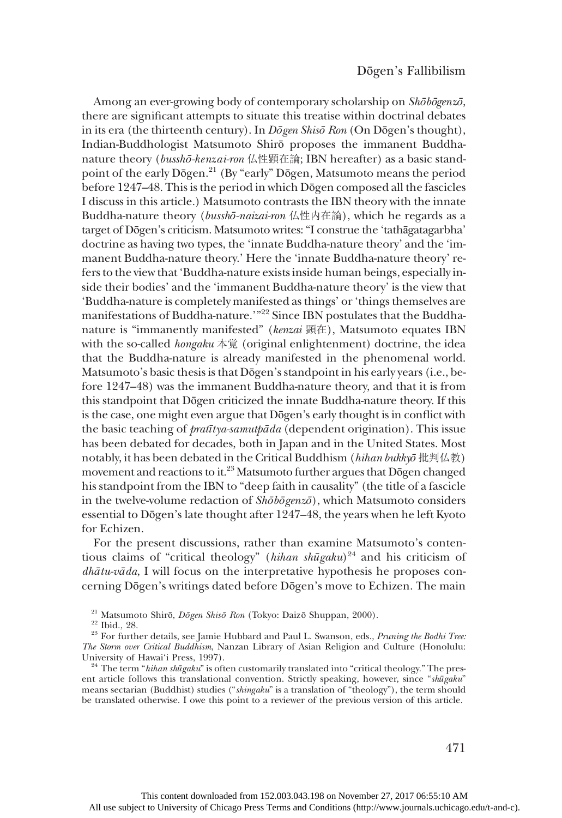Among an ever-growing body of contemporary scholarship on Shōbōgenzō, there are significant attempts to situate this treatise within doctrinal debates in its era (the thirteenth century). In Dōgen Shisō Ron (On Dōgen's thought), Indian-Buddhologist Matsumoto Shirō proposes the immanent Buddhanature theory (busshō-kenzai-ron 仏性顕在論; IBN hereafter) as a basic standpoint of the early Dōgen.21 (By "early" Dōgen, Matsumoto means the period before 1247–48. This is the period in which Dōgen composed all the fascicles I discuss in this article.) Matsumoto contrasts the IBN theory with the innate Buddha-nature theory (busshō-naizai-ron 仏性内在論), which he regards as a target of Dōgen's criticism. Matsumoto writes:"I construe the 'tathāgatagarbha' doctrine as having two types, the 'innate Buddha-nature theory' and the 'immanent Buddha-nature theory.' Here the 'innate Buddha-nature theory' refers to the view that 'Buddha-nature exists inside human beings, especially inside their bodies' and the 'immanent Buddha-nature theory' is the view that 'Buddha-nature is completely manifested as things' or'things themselves are manifestations of Buddha-nature.'"<sup>22</sup> Since IBN postulates that the Buddhanature is "immanently manifested" (kenzai 顕在), Matsumoto equates IBN with the so-called *hongaku* 本覚 (original enlightenment) doctrine, the idea that the Buddha-nature is already manifested in the phenomenal world. Matsumoto's basic thesis is that Dōgen's standpoint in his early years (i.e., before 1247–48) was the immanent Buddha-nature theory, and that it is from this standpoint that Dōgen criticized the innate Buddha-nature theory. If this is the case, one might even argue that Dōgen's early thought is in conflict with the basic teaching of pratītya-samutpāda (dependent origination). This issue has been debated for decades, both in Japan and in the United States. Most notably, it has been debated in the Critical Buddhism (hihan bukkyō 批判仏教) movement and reactions to it.23 Matsumoto further argues that Dōgen changed his standpoint from the IBN to "deep faith in causality" (the title of a fascicle in the twelve-volume redaction of  $\delta h \bar{\delta} b \bar{\delta} g$ enz $\bar{\delta}$ ), which Matsumoto considers essential to Dōgen's late thought after 1247–48, the years when he left Kyoto for Echizen.

For the present discussions, rather than examine Matsumoto's contentious claims of "critical theology" (hihan shūgaku)<sup>24</sup> and his criticism of  $dh\bar{a}tu-v\bar{a}da$ , I will focus on the interpretative hypothesis he proposes concerning Dōgen's writings dated before Dōgen's move to Echizen. The main

<sup>24</sup> The term "*hihan shūgaku*" is often customarily translated into "critical theology." The present article follows this translational convention. Strictly speaking, however, since "shūgaku" means sectarian (Buddhist) studies ("shingaku" is a translation of "theology"), the term should be translated otherwise. I owe this point to a reviewer of the previous version of this article.

<sup>&</sup>lt;sup>21</sup> Matsumoto Shirō, *Dōgen Shisō Ron* (Tokyo: Daizō Shuppan, 2000).<br><sup>22</sup> Ibid., 28. <br><sup>23</sup> For further details, see Jamie Hubbard and Paul L. Swanson, eds., *Pruning the Bodhi Tree*: The Storm over Critical Buddhism, Nanzan Library of Asian Religion and Culture (Honolulu: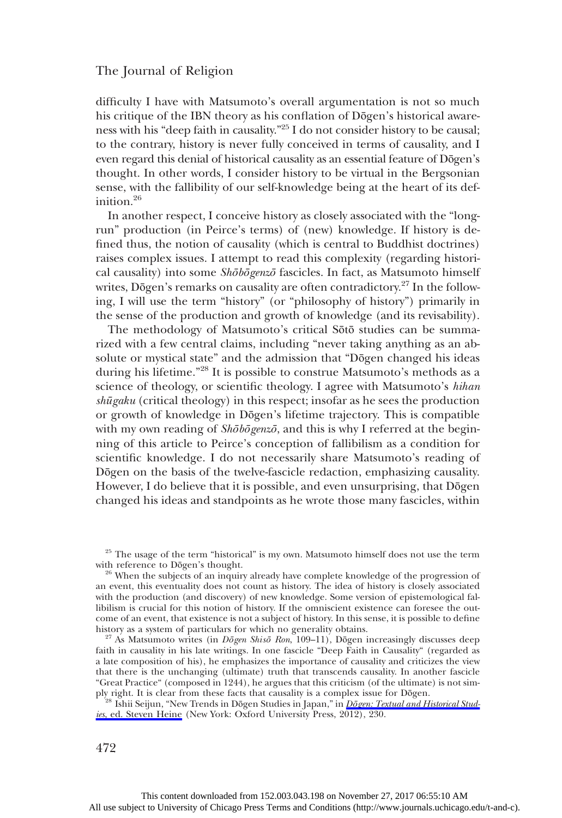difficulty I have with Matsumoto's overall argumentation is not so much his critique of the IBN theory as his conflation of Dōgen's historical awareness with his "deep faith in causality." <sup>25</sup> I do not consider history to be causal; to the contrary, history is never fully conceived in terms of causality, and I even regard this denial of historical causality as an essential feature of Dōgen's thought. In other words, I consider history to be virtual in the Bergsonian sense, with the fallibility of our self-knowledge being at the heart of its definition.<sup>26</sup>

In another respect, I conceive history as closely associated with the "longrun" production (in Peirce's terms) of (new) knowledge. If history is defined thus, the notion of causality (which is central to Buddhist doctrines) raises complex issues. I attempt to read this complexity (regarding historical causality) into some Shōbōgenzō fascicles. In fact, as Matsumoto himself writes, Dōgen's remarks on causality are often contradictory.<sup>27</sup> In the following, I will use the term "history" (or "philosophy of history") primarily in the sense of the production and growth of knowledge (and its revisability).

The methodology of Matsumoto's critical Sōtō studies can be summarized with a few central claims, including "never taking anything as an absolute or mystical state" and the admission that "Dōgen changed his ideas during his lifetime."<sup>28</sup> It is possible to construe Matsumoto's methods as a science of theology, or scientific theology. I agree with Matsumoto's hihan shūgaku (critical theology) in this respect; insofar as he sees the production or growth of knowledge in Dōgen's lifetime trajectory. This is compatible with my own reading of  $\overline{Sh\bar{o}bgenz\bar{o}}$ , and this is why I referred at the beginning of this article to Peirce's conception of fallibilism as a condition for scientific knowledge. I do not necessarily share Matsumoto's reading of Dōgen on the basis of the twelve-fascicle redaction, emphasizing causality. However, I do believe that it is possible, and even unsurprising, that Dōgen changed his ideas and standpoints as he wrote those many fascicles, within

 $^{25}$  The usage of the term "historical" is my own. Matsumoto himself does not use the term with reference to Dōgen's thought.

<sup>26</sup> When the subjects of an inquiry already have complete knowledge of the progression of an event, this eventuality does not count as history. The idea of history is closely associated with the production (and discovery) of new knowledge. Some version of epistemological fallibilism is crucial for this notion of history. If the omniscient existence can foresee the outcome of an event, that existence is not a subject of history. In this sense, it is possible to define history as a system of particulars for which no generality obtains.

 $^{27}$  As Matsumoto writes (in *Dōgen Shisō Ron*, 109–11), Dōgen increasingly discusses deep faith in causality in his late writings. In one fascicle "Deep Faith in Causality" (regarded as a late composition of his), he emphasizes the importance of causality and criticizes the view that there is the unchanging (ultimate) truth that transcends causality. In another fascicle "Great Practice" (composed in 1244), he argues that this criticism (of the ultimate) is not sim-

Ishii Seijun, "New Trends in Dōgen Studies in Japan," in Dō[gen: Textual and Historical Stud-](http://www.journals.uchicago.edu/action/showLinks?doi=10.1086%2F687798&crossref=10.1093%2Facprof%3Aoso%2F9780199754465.003.0010&citationId=p_26)ies[, ed. Steven Heine](http://www.journals.uchicago.edu/action/showLinks?doi=10.1086%2F687798&crossref=10.1093%2Facprof%3Aoso%2F9780199754465.003.0010&citationId=p_26) (New York: Oxford University Press, 2012), 230.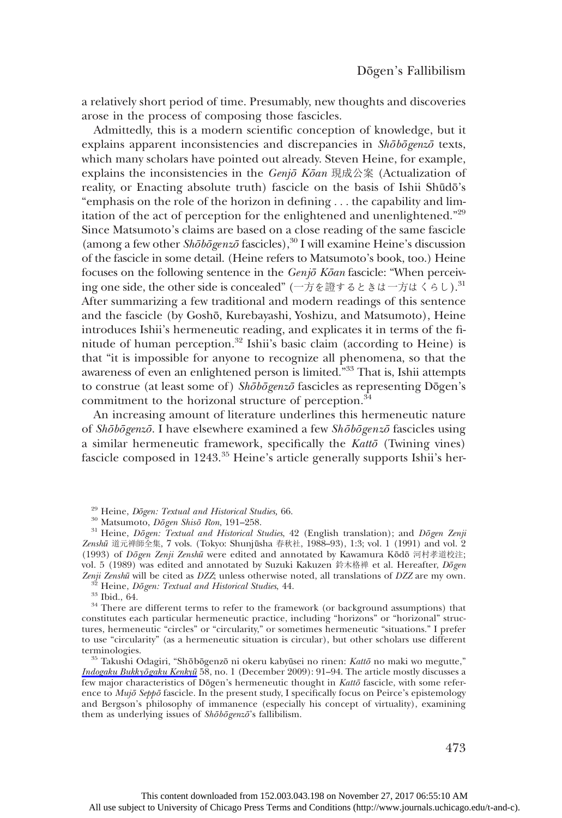a relatively short period of time. Presumably, new thoughts and discoveries arose in the process of composing those fascicles.

Admittedly, this is a modern scientific conception of knowledge, but it explains apparent inconsistencies and discrepancies in  $\mathit{Sh\bar{o}b\bar{o}genz\bar{o}}$  texts, which many scholars have pointed out already. Steven Heine, for example, explains the inconsistencies in the  $Geni\bar{o} K\bar{o}an$  現成公案 (Actualization of reality, or Enacting absolute truth) fascicle on the basis of Ishii Shūdō's "emphasis on the role of the horizon in defining ... the capability and limitation of the act of perception for the enlightened and unenlightened."<sup>29</sup> Since Matsumoto's claims are based on a close reading of the same fascicle (among a few other  $\textit{Sh\bar{o}b\bar{o}genz\bar{o}}$  fascicles),<sup>30</sup> I will examine Heine's discussion of the fascicle in some detail. (Heine refers to Matsumoto's book, too.) Heine focuses on the following sentence in the Genjō Kōan fascicle: "When perceiving one side, the other side is concealed" (一方を證するときは一方はくらし).<sup>31</sup> After summarizing a few traditional and modern readings of this sentence and the fascicle (by Goshō, Kurebayashi, Yoshizu, and Matsumoto), Heine introduces Ishii's hermeneutic reading, and explicates it in terms of the finitude of human perception.<sup>32</sup> Ishii's basic claim (according to Heine) is that "it is impossible for anyone to recognize all phenomena, so that the awareness of even an enlightened person is limited." <sup>33</sup> That is, Ishii attempts to construe (at least some of) Shōbōgenzō fascicles as representing Dōgen's commitment to the horizonal structure of perception.<sup>34</sup>

An increasing amount of literature underlines this hermeneutic nature of Shōbōgenzō. I have elsewhere examined a few Shōbōgenzō fascicles using a similar hermeneutic framework, specifically the Kattō (Twining vines) fascicle composed in 1243.<sup>35</sup> Heine's article generally supports Ishii's her-

<sup>29</sup> Heine, *Dōgen: Textual and Historical Studies*, 66.<br><sup>30</sup> Matsumoto, *Dōgen Shisō Ron*, 191–258.<br><sup>31</sup> Heine, *Dōgen: Textual and Historical Studies*, 42 (English translation); and *Dōgen Zenji* Zenshū 道元禅師全集, 7 vols. (Tokyo: Shunjūsha 春秋社, 1988–93), 1:3; vol. 1 (1991) and vol. 2 (1993) of Dōgen Zenji Zenshū were edited and annotated by Kawamura Kōdō 河村孝道校注; vol. 5 (1989) was edited and annotated by Suzuki Kakuzen 鈴木格禅 et al. Hereafter, *Dōgen Zenji Zenshū* will be cited as *DZZ*; unless otherwise noted, all translations of *DZZ* are my own.

<sup>32</sup> Heine, *Dõgen: Textual and Historical Studies*, 44.<br><sup>33</sup> Ibid., 64.<br><sup>34</sup> There are different terms to refer to the framework (or background assumptions) that constitutes each particular hermeneutic practice, including "horizons" or "horizonal" structures, hermeneutic "circles" or "circularity," or sometimes hermeneutic "situations." I prefer to use "circularity" (as a hermeneutic situation is circular), but other scholars use different

 $10^{35}$  Takushi Odagiri, "Shōbōgenzō ni okeru kabyūsei no rinen: Kattō no maki wo megutte," [Indogaku Bukky](http://www.journals.uchicago.edu/action/showLinks?doi=10.1086%2F687798&crossref=10.4259%2Fibk.58.1_91&citationId=p_33)ōgaku Kenkyū 58, no. 1 (December 2009): 91–94. The article mostly discusses a few major characteristics of Dōgen's hermeneutic thought in Kattō fascicle, with some reference to Mujō Seppō fascicle. In the present study, I specifically focus on Peirce's epistemology and Bergson's philosophy of immanence (especially his concept of virtuality), examining them as underlying issues of  $\overline{Sh\bar{o}b\bar{o}genz\bar{o}}$ 's fallibilism.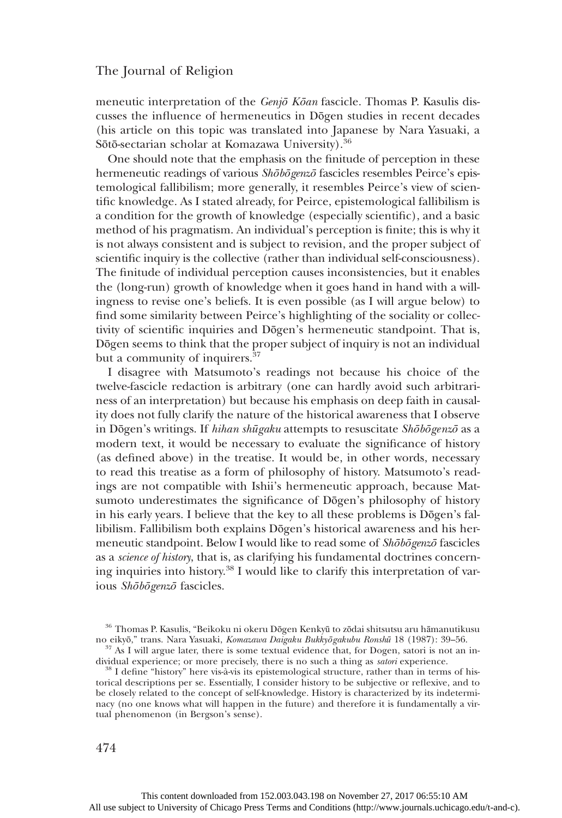meneutic interpretation of the Genjō Kōan fascicle. Thomas P. Kasulis discusses the influence of hermeneutics in Dōgen studies in recent decades (his article on this topic was translated into Japanese by Nara Yasuaki, a Sōtō-sectarian scholar at Komazawa University).<sup>36</sup>

One should note that the emphasis on the finitude of perception in these hermeneutic readings of various *Shōbōgenzō* fascicles resembles Peirce's epistemological fallibilism; more generally, it resembles Peirce's view of scientific knowledge. As I stated already, for Peirce, epistemological fallibilism is a condition for the growth of knowledge (especially scientific), and a basic method of his pragmatism. An individual's perception is finite; this is why it is not always consistent and is subject to revision, and the proper subject of scientific inquiry is the collective (rather than individual self-consciousness). The finitude of individual perception causes inconsistencies, but it enables the (long-run) growth of knowledge when it goes hand in hand with a willingness to revise one's beliefs. It is even possible (as I will argue below) to find some similarity between Peirce's highlighting of the sociality or collectivity of scientific inquiries and Dōgen's hermeneutic standpoint. That is, Dōgen seems to think that the proper subject of inquiry is not an individual but a community of inquirers.<sup>37</sup>

I disagree with Matsumoto's readings not because his choice of the twelve-fascicle redaction is arbitrary (one can hardly avoid such arbitrariness of an interpretation) but because his emphasis on deep faith in causality does not fully clarify the nature of the historical awareness that I observe in Dōgen's writings. If hihan shūgaku attempts to resuscitate Shōbōgenzō as a modern text, it would be necessary to evaluate the significance of history (as defined above) in the treatise. It would be, in other words, necessary to read this treatise as a form of philosophy of history. Matsumoto's readings are not compatible with Ishii's hermeneutic approach, because Matsumoto underestimates the significance of Dōgen's philosophy of history in his early years. I believe that the key to all these problems is Dōgen's fallibilism. Fallibilism both explains Dōgen's historical awareness and his hermeneutic standpoint. Below I would like to read some of Shōbōgenzō fascicles as a science of history, that is, as clarifying his fundamental doctrines concerning inquiries into history.<sup>38</sup> I would like to clarify this interpretation of various Shōbōgenzō fascicles.

 $8$  I define "history" here vis-à-vis its epistemological structure, rather than in terms of historical descriptions per se. Essentially, I consider history to be subjective or reflexive, and to be closely related to the concept of self-knowledge. History is characterized by its indeterminacy (no one knows what will happen in the future) and therefore it is fundamentally a virtual phenomenon (in Bergson's sense).

 $^{36}$  Thomas P. Kasulis, "Beikoku ni okeru Dōgen Kenkyū to zōdai shitsutsu aru hāmanutikusu no eikyō," trans. Nara Yasuaki, *Komazawa Daigaku Bukkyōgakubu Ronshū* 18 (1987): 39–56.

 $^{37}$  As I will argue later, there is some textual evidence that, for Dogen, satori is not an in-<br>dividual experience; or more precisely, there is no such a thing as *satori* experience.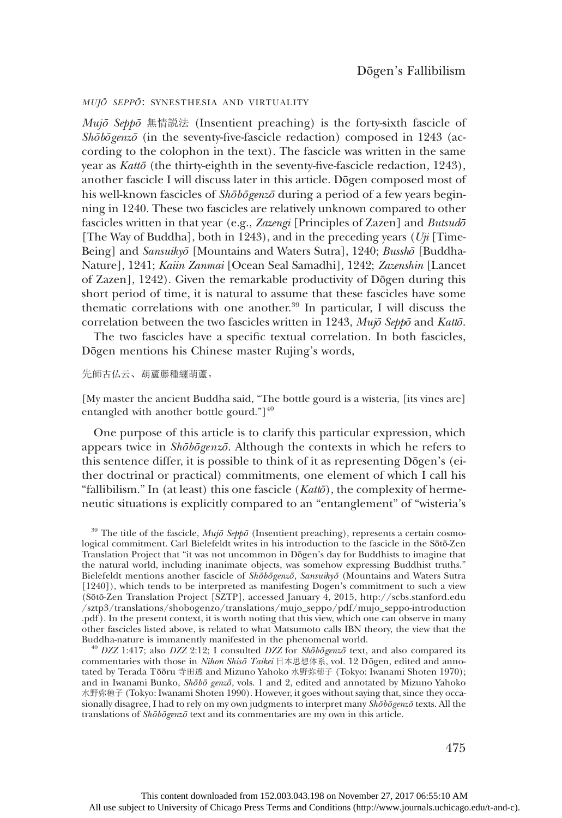### MUJ<sup>Ō</sup> SEPP<sup>Ō</sup>: SYNESTHESIA AND VIRTUALITY

 $Mujō$  Seppō 無情説法 (Insentient preaching) is the forty-sixth fascicle of Shōbōgenzō (in the seventy-five-fascicle redaction) composed in 1243 (according to the colophon in the text). The fascicle was written in the same year as Kattō (the thirty-eighth in the seventy-five-fascicle redaction, 1243), another fascicle I will discuss later in this article. Dōgen composed most of his well-known fascicles of Shōbōgenzō during a period of a few years beginning in 1240. These two fascicles are relatively unknown compared to other fascicles written in that year (e.g., Zazengi [Principles of Zazen] and Butsudō [The Way of Buddha], both in 1243), and in the preceding years  $(Uji$  [Time-Being] and Sansuikyō [Mountains and Waters Sutra], 1240; Busshō [Buddha-Nature], 1241; Kaiin Zanmai [Ocean Seal Samadhi], 1242; Zazenshin [Lancet of Zazen], 1242). Given the remarkable productivity of Dōgen during this short period of time, it is natural to assume that these fascicles have some thematic correlations with one another.39 In particular, I will discuss the correlation between the two fascicles written in 1243, Mujō Seppō and Kattō.

The two fascicles have a specific textual correlation. In both fascicles, Dōgen mentions his Chinese master Rujing's words,

#### 先師古仏云、葫蘆藤種纏葫蘆。

[My master the ancient Buddha said, "The bottle gourd is a wisteria, [its vines are] entangled with another bottle gourd." $]$ <sup>40</sup>

One purpose of this article is to clarify this particular expression, which appears twice in Shōbōgenzō. Although the contexts in which he refers to this sentence differ, it is possible to think of it as representing Dōgen's (either doctrinal or practical) commitments, one element of which I call his "fallibilism." In (at least) this one fascicle  $(Kat\bar{\omega})$ , the complexity of hermeneutic situations is explicitly compared to an "entanglement" of "wisteria's

 $^{40}$  DZZ 1:417; also DZZ 2:12; I consulted DZZ for Shōbōgenzō text, and also compared its commentaries with those in Nihon Shisō Taikei 日本思想体系, vol. 12 Dōgen, edited and annotated by Terada Tōōru 寺田透 and Mizuno Yahoko 水野弥穂子 (Tokyo: Iwanami Shoten 1970); and in Iwanami Bunko, Shōbō genzō, vols. 1 and 2, edited and annotated by Mizuno Yahoko 水野弥穂子 (Tokyo: Iwanami Shoten 1990). However, it goes without saying that, since they occasionally disagree, I had to rely on my own judgments to interpret many Shōbōgenzō texts. All the translations of Shōbōgenzō text and its commentaries are my own in this article.

 $39$  The title of the fascicle,  $Muj\bar{o}$  Seppō (Insentient preaching), represents a certain cosmological commitment. Carl Bielefeldt writes in his introduction to the fascicle in the Sōtō-Zen Translation Project that "it was not uncommon in Dōgen's day for Buddhists to imagine that the natural world, including inanimate objects, was somehow expressing Buddhist truths." Bielefeldt mentions another fascicle of Shoopenzo, Sansuikyō (Mountains and Waters Sutra [1240]), which tends to be interpreted as manifesting Dogen's commitment to such a view (Sōtō-Zen Translation Project [SZTP], accessed January 4, 2015, http://scbs.stanford.edu /sztp3/translations/shobogenzo/translations/mujo\_seppo/pdf/mujo\_seppo-introduction .pdf ). In the present context, it is worth noting that this view, which one can observe in many other fascicles listed above, is related to what Matsumoto calls IBN theory, the view that the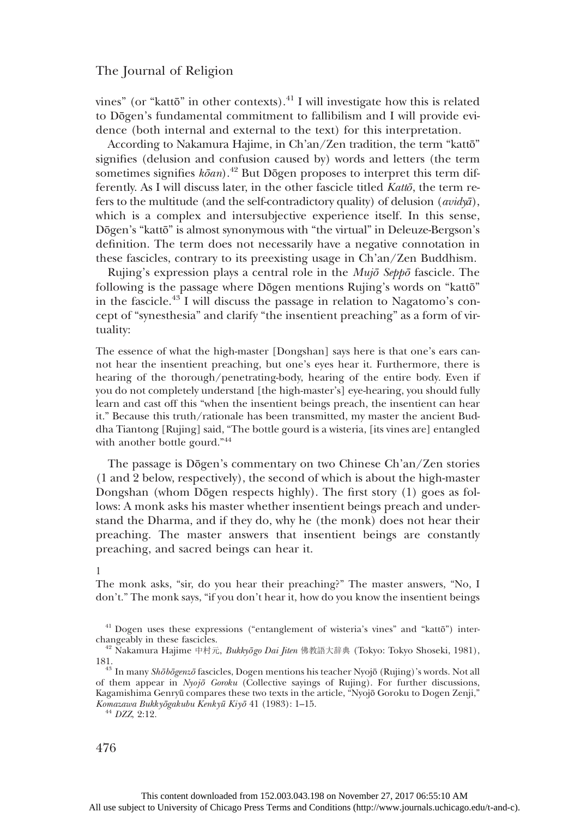vines" (or "kattō" in other contexts). $41$  I will investigate how this is related to Dōgen's fundamental commitment to fallibilism and I will provide evidence (both internal and external to the text) for this interpretation.

According to Nakamura Hajime, in Ch'an/Zen tradition, the term "kattō" signifies (delusion and confusion caused by) words and letters (the term sometimes signifies  $k\bar{o}an$ .<sup>42</sup> But Dōgen proposes to interpret this term differently. As I will discuss later, in the other fascicle titled Kattō, the term refers to the multitude (and the self-contradictory quality) of delusion  $(avid\psi\bar{a})$ , which is a complex and intersubjective experience itself. In this sense, Dōgen's "kattō" is almost synonymous with "the virtual" in Deleuze-Bergson's definition. The term does not necessarily have a negative connotation in these fascicles, contrary to its preexisting usage in Ch'an/Zen Buddhism.

Rujing's expression plays a central role in the *Mujō Seppō* fascicle. The following is the passage where Dōgen mentions Rujing's words on "kattō" in the fascicle.<sup>43</sup> I will discuss the passage in relation to Nagatomo's concept of "synesthesia" and clarify "the insentient preaching" as a form of virtuality:

The essence of what the high-master [Dongshan] says here is that one's ears cannot hear the insentient preaching, but one's eyes hear it. Furthermore, there is hearing of the thorough/penetrating-body, hearing of the entire body. Even if you do not completely understand [the high-master's] eye-hearing, you should fully learn and cast off this "when the insentient beings preach, the insentient can hear it." Because this truth/rationale has been transmitted, my master the ancient Buddha Tiantong [Rujing] said, "The bottle gourd is a wisteria, [its vines are] entangled with another bottle gourd." 44

The passage is Dōgen's commentary on two Chinese Ch'an/Zen stories (1 and 2 below, respectively), the second of which is about the high-master Dongshan (whom Dōgen respects highly). The first story (1) goes as follows: A monk asks his master whether insentient beings preach and understand the Dharma, and if they do, why he (the monk) does not hear their preaching. The master answers that insentient beings are constantly preaching, and sacred beings can hear it.

#### 1

The monk asks, "sir, do you hear their preaching?" The master answers, "No, I don't." The monk says, "if you don't hear it, how do you know the insentient beings

 $^{41}$  Dogen uses these expressions ("entanglement of wisteria's vines" and "kattō") inter-changeably in these fascicles.

<sup>&</sup>lt;sup>42</sup> Nakamura Hajime 中村元, Bukkyōgo Dai Jiten 佛教語大辞典 (Tokyo: Tokyo Shoseki, 1981),

<sup>181.&</sup>lt;br><sup>43</sup> In many Shōbōgenzō fascicles, Dogen mentions his teacher Nyojō (Rujing)'s words. Not all<br>1990 For further discussions, of them appear in  $Nyoj\bar{o} Gorku$  (Collective sayings of Rujing). For further discussions, Kagamishima Genryū compares these two texts in the article, "Nyojō Goroku to Dogen Zenji," Komazawa Bukkyōgakubu Kenky<sup>ū</sup> Kiy<sup>ō</sup> 41 (1983): 1–15. <sup>44</sup> DZZ, 2:12.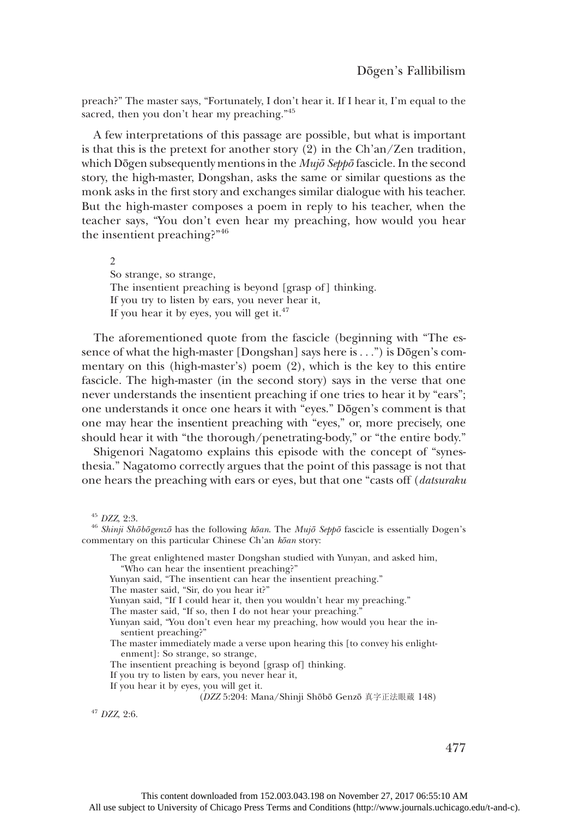preach?" The master says, "Fortunately, I don't hear it. If I hear it, I'm equal to the sacred, then you don't hear my preaching."<sup>45</sup>

A few interpretations of this passage are possible, but what is important is that this is the pretext for another story (2) in the Ch'an/Zen tradition, which Dōgen subsequently mentions in the Mujō Seppō fascicle. In the second story, the high-master, Dongshan, asks the same or similar questions as the monk asks in the first story and exchanges similar dialogue with his teacher. But the high-master composes a poem in reply to his teacher, when the teacher says, "You don't even hear my preaching, how would you hear the insentient preaching?"<sup>46</sup>

 $\mathcal{D}$ So strange, so strange, The insentient preaching is beyond [grasp of] thinking. If you try to listen by ears, you never hear it, If you hear it by eyes, you will get it. $47$ 

The aforementioned quote from the fascicle (beginning with "The essence of what the high-master [Dongshan] says here is ...") is Dōgen's commentary on this (high-master's) poem (2), which is the key to this entire fascicle. The high-master (in the second story) says in the verse that one never understands the insentient preaching if one tries to hear it by "ears"; one understands it once one hears it with "eyes." Dōgen's comment is that one may hear the insentient preaching with "eyes," or, more precisely, one should hear it with "the thorough/penetrating-body," or "the entire body."

Shigenori Nagatomo explains this episode with the concept of "synesthesia." Nagatomo correctly argues that the point of this passage is not that one hears the preaching with ears or eyes, but that one "casts off (datsuraku

- "Who can hear the insentient preaching?"
- Yunyan said, "The insentient can hear the insentient preaching."
- The master said, "Sir, do you hear it?"
- Yunyan said, "If I could hear it, then you wouldn't hear my preaching."
- The master said, "If so, then I do not hear your preaching."
- Yunyan said, "You don't even hear my preaching, how would you hear the insentient preaching?"
- The master immediately made a verse upon hearing this [to convey his enlightenment]: So strange, so strange,
- The insentient preaching is beyond [grasp of] thinking.
- If you try to listen by ears, you never hear it,
- If you hear it by eyes, you will get it.

<sup>47</sup> DZZ, 2:6.

477

<sup>&</sup>lt;sup>45</sup> DZZ, 2:3.<br><sup>46</sup> Shinji Shōbōgenzō has the following kōan. The Mujō Seppō fascicle is essentially Dogen's commentary on this particular Chinese Ch'an kōan story:

The great enlightened master Dongshan studied with Yunyan, and asked him,

<sup>(</sup>DZZ 5:204: Mana/Shinji Shōbō Genzō 真字正法眼蔵 148)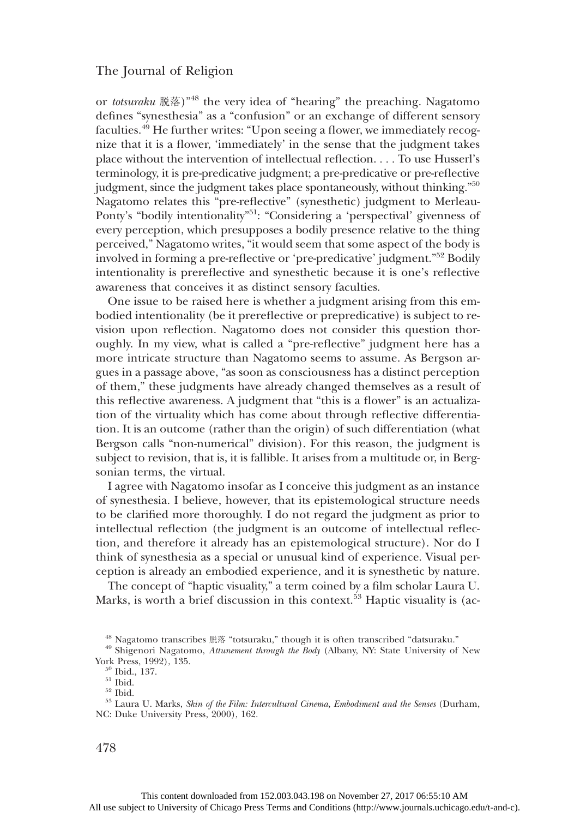or totsuraku 脱落)<sup>"48</sup> the very idea of "hearing" the preaching. Nagatomo defines "synesthesia" as a "confusion" or an exchange of different sensory faculties.<sup>49</sup> He further writes: "Upon seeing a flower, we immediately recognize that it is a flower, 'immediately' in the sense that the judgment takes place without the intervention of intellectual reflection. ... To use Husserl's terminology, it is pre-predicative judgment; a pre-predicative or pre-reflective judgment, since the judgment takes place spontaneously, without thinking." 50 Nagatomo relates this "pre-reflective" (synesthetic) judgment to Merleau-Ponty's "bodily intentionality"<sup>51</sup>: "Considering a 'perspectival' givenness of every perception, which presupposes a bodily presence relative to the thing perceived," Nagatomo writes, "it would seem that some aspect of the body is involved in forming a pre-reflective or 'pre-predicative' judgment." <sup>52</sup> Bodily intentionality is prereflective and synesthetic because it is one's reflective awareness that conceives it as distinct sensory faculties.

One issue to be raised here is whether a judgment arising from this embodied intentionality (be it prereflective or prepredicative) is subject to revision upon reflection. Nagatomo does not consider this question thoroughly. In my view, what is called a "pre-reflective" judgment here has a more intricate structure than Nagatomo seems to assume. As Bergson argues in a passage above, "as soon as consciousness has a distinct perception of them," these judgments have already changed themselves as a result of this reflective awareness. A judgment that "this is a flower" is an actualization of the virtuality which has come about through reflective differentiation. It is an outcome (rather than the origin) of such differentiation (what Bergson calls "non-numerical" division). For this reason, the judgment is subject to revision, that is, it is fallible. It arises from a multitude or, in Bergsonian terms, the virtual.

I agree with Nagatomo insofar as I conceive this judgment as an instance of synesthesia. I believe, however, that its epistemological structure needs to be clarified more thoroughly. I do not regard the judgment as prior to intellectual reflection (the judgment is an outcome of intellectual reflection, and therefore it already has an epistemological structure). Nor do I think of synesthesia as a special or unusual kind of experience. Visual perception is already an embodied experience, and it is synesthetic by nature.

The concept of "haptic visuality," a term coined by a film scholar Laura U. Marks, is worth a brief discussion in this context.<sup>53</sup> Haptic visuality is (ac-

<sup>&</sup>lt;sup>48</sup> Nagatomo transcribes 脱落 "totsuraku," though it is often transcribed "datsuraku." <sup>49</sup> Shigenori Nagatomo, *Attunement through the Body* (Albany, NY: State University of New York Press, 1992), 135.

<sup>&</sup>lt;sup>50</sup> Ibid., 137.  $\overset{51}{\phantom{}_{52}}$  Ibid.<br><sup>52</sup> Ibid. 52 Ibid. 52 Ibid. 52 Ibid. 53 Laura U. Marks, *Skin of the Film: Intercultural Cinema*, *Embodiment and the Senses* (Durham, NC: Duke University Press, 2000), 162.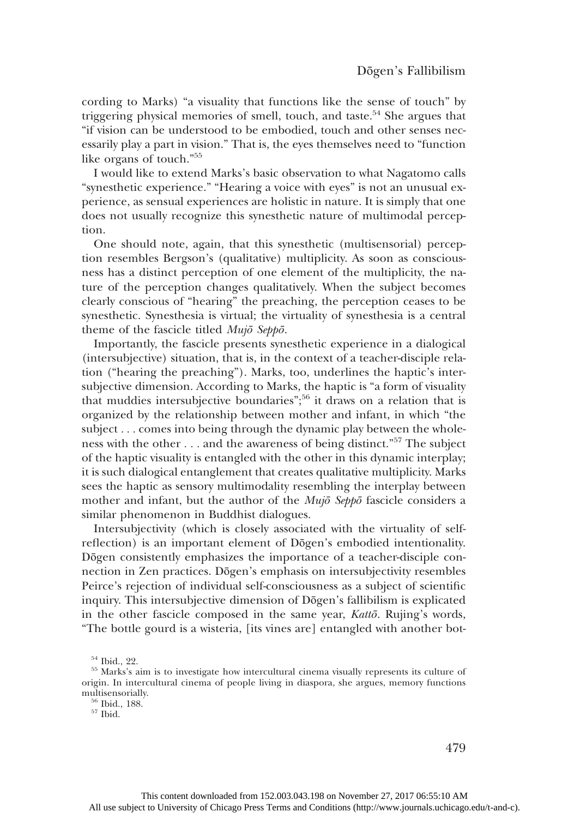cording to Marks) "a visuality that functions like the sense of touch" by triggering physical memories of smell, touch, and taste.<sup>54</sup> She argues that "if vision can be understood to be embodied, touch and other senses necessarily play a part in vision." That is, the eyes themselves need to "function like organs of touch." 55

I would like to extend Marks's basic observation to what Nagatomo calls "synesthetic experience." "Hearing a voice with eyes" is not an unusual experience, as sensual experiences are holistic in nature. It is simply that one does not usually recognize this synesthetic nature of multimodal perception.

One should note, again, that this synesthetic (multisensorial) perception resembles Bergson's (qualitative) multiplicity. As soon as consciousness has a distinct perception of one element of the multiplicity, the nature of the perception changes qualitatively. When the subject becomes clearly conscious of "hearing" the preaching, the perception ceases to be synesthetic. Synesthesia is virtual; the virtuality of synesthesia is a central theme of the fascicle titled Mujō Seppō.

Importantly, the fascicle presents synesthetic experience in a dialogical (intersubjective) situation, that is, in the context of a teacher-disciple relation ("hearing the preaching"). Marks, too, underlines the haptic's intersubjective dimension. According to Marks, the haptic is "a form of visuality that muddies intersubjective boundaries"; <sup>56</sup> it draws on a relation that is organized by the relationship between mother and infant, in which "the subject ... comes into being through the dynamic play between the wholeness with the other ... and the awareness of being distinct." <sup>57</sup> The subject of the haptic visuality is entangled with the other in this dynamic interplay; it is such dialogical entanglement that creates qualitative multiplicity. Marks sees the haptic as sensory multimodality resembling the interplay between mother and infant, but the author of the  $Muj\bar{o}$  Seppo fascicle considers a similar phenomenon in Buddhist dialogues.

Intersubjectivity (which is closely associated with the virtuality of selfreflection) is an important element of Dōgen's embodied intentionality. Dōgen consistently emphasizes the importance of a teacher-disciple connection in Zen practices. Dōgen's emphasis on intersubjectivity resembles Peirce's rejection of individual self-consciousness as a subject of scientific inquiry. This intersubjective dimension of Dōgen's fallibilism is explicated in the other fascicle composed in the same year, Kattō. Rujing's words, "The bottle gourd is a wisteria, [its vines are] entangled with another bot-

 $54$  Ibid., 22.<br> $55$  Marks's aim is to investigate how intercultural cinema visually represents its culture of origin. In intercultural cinema of people living in diaspora, she argues, memory functions

 $\frac{56}{57}$  Ibid., 188.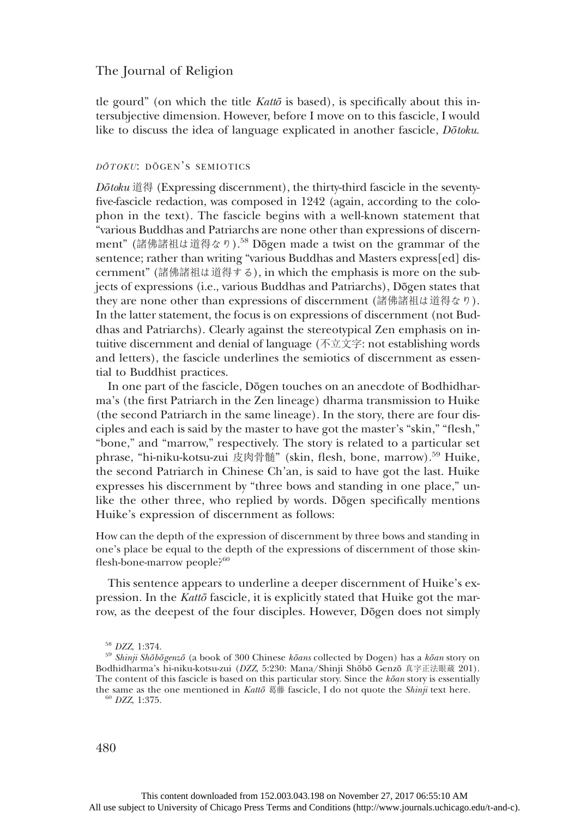tle gourd" (on which the title  $Kat\bar{\omega}$  is based), is specifically about this intersubjective dimension. However, before I move on to this fascicle, I would like to discuss the idea of language explicated in another fascicle, Dotoku.

## <sup>D</sup>ŌTOKU: <sup>D</sup>ŌGEN'S SEMIOTICS

 $D\bar{\sigma}$ toku 道得 (Expressing discernment), the thirty-third fascicle in the seventyfive-fascicle redaction, was composed in 1242 (again, according to the colophon in the text). The fascicle begins with a well-known statement that "various Buddhas and Patriarchs are none other than expressions of discernment" (諸佛諸祖は道得なり).58 Dōgen made a twist on the grammar of the sentence; rather than writing "various Buddhas and Masters express[ed] discernment" (諸佛諸祖は道得する), in which the emphasis is more on the subjects of expressions (i.e., various Buddhas and Patriarchs), Dōgen states that they are none other than expressions of discernment (諸佛諸祖は道得なり). In the latter statement, the focus is on expressions of discernment (not Buddhas and Patriarchs). Clearly against the stereotypical Zen emphasis on intuitive discernment and denial of language (不立文字: not establishing words and letters), the fascicle underlines the semiotics of discernment as essential to Buddhist practices.

In one part of the fascicle, Dōgen touches on an anecdote of Bodhidharma's (the first Patriarch in the Zen lineage) dharma transmission to Huike (the second Patriarch in the same lineage). In the story, there are four disciples and each is said by the master to have got the master's "skin," "flesh," "bone," and "marrow," respectively. The story is related to a particular set phrase, "hi-niku-kotsu-zui 皮肉骨髄" (skin, flesh, bone, marrow).<sup>59</sup> Huike, the second Patriarch in Chinese Ch'an, is said to have got the last. Huike expresses his discernment by "three bows and standing in one place," unlike the other three, who replied by words. Dōgen specifically mentions Huike's expression of discernment as follows:

How can the depth of the expression of discernment by three bows and standing in one's place be equal to the depth of the expressions of discernment of those skinflesh-bone-marrow people?<sup>60</sup>

This sentence appears to underline a deeper discernment of Huike's expression. In the Kattō fascicle, it is explicitly stated that Huike got the marrow, as the deepest of the four disciples. However, Dōgen does not simply

<sup>&</sup>lt;sup>58</sup> DZZ, 1:374.<br><sup>59</sup> Shinji Shōbōgenzō (a book of 300 Chinese kōans collected by Dogen) has a kōan story on Bodhidharma's hi-niku-kotsu-zui (DZZ, 5:230: Mana/Shinji Shōbō Genzō 真字正法眼蔵 201). The content of this fascicle is based on this particular story. Since the  $k\bar{o}an$  story is essentially the same as the one mentioned in *Kattō*  $\overline{B}$   $\overline{B}$  fascicle, I do not quote the *Shinji* text here. <sup>60</sup> DZZ, 1:375.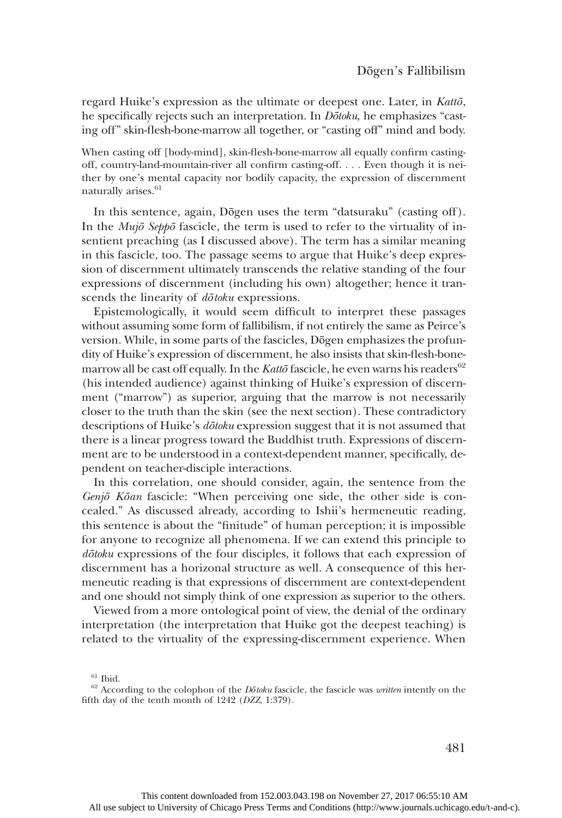regard Huike's expression as the ultimate or deepest one. Later, in Kattō, he specifically rejects such an interpretation. In *Dōtoku*, he emphasizes "casting off" skin-flesh-bone-marrow all together, or "casting off" mind and body.

When casting off [body-mind], skin-flesh-bone-marrow all equally confirm castingoff, country-land-mountain-river all confirm casting-off. ... Even though it is neither by one's mental capacity nor bodily capacity, the expression of discernment naturally arises.<sup>61</sup>

In this sentence, again, Dōgen uses the term "datsuraku" (casting off). In the  $Muj\bar{o}$  Sepp $\bar{o}$  fascicle, the term is used to refer to the virtuality of insentient preaching (as I discussed above). The term has a similar meaning in this fascicle, too. The passage seems to argue that Huike's deep expression of discernment ultimately transcends the relative standing of the four expressions of discernment (including his own) altogether; hence it transcends the linearity of  $d\bar{\sigma}$ toku expressions.

Epistemologically, it would seem difficult to interpret these passages without assuming some form of fallibilism, if not entirely the same as Peirce's version. While, in some parts of the fascicles, Dōgen emphasizes the profundity of Huike's expression of discernment, he also insists that skin-flesh-bonemarrow all be cast off equally. In the Kattō fascicle, he even warns his readers<sup>62</sup> (his intended audience) against thinking of Huike's expression of discernment ("marrow") as superior, arguing that the marrow is not necessarily closer to the truth than the skin (see the next section). These contradictory descriptions of Huike's *dōtoku* expression suggest that it is not assumed that there is a linear progress toward the Buddhist truth. Expressions of discernment are to be understood in a context-dependent manner, specifically, dependent on teacher-disciple interactions.

In this correlation, one should consider, again, the sentence from the Genjō Kōan fascicle: "When perceiving one side, the other side is concealed." As discussed already, according to Ishii's hermeneutic reading, this sentence is about the "finitude" of human perception; it is impossible for anyone to recognize all phenomena. If we can extend this principle to dōtoku expressions of the four disciples, it follows that each expression of discernment has a horizonal structure as well. A consequence of this hermeneutic reading is that expressions of discernment are context-dependent and one should not simply think of one expression as superior to the others.

Viewed from a more ontological point of view, the denial of the ordinary interpretation (the interpretation that Huike got the deepest teaching) is related to the virtuality of the expressing-discernment experience. When

<sup>61</sup> Ibid.<br><sup>62</sup> According to the colophon of the *Dōtoku* fascicle, the fascicle was *written* intently on the fifth day of the tenth month of 1242 (DZZ, 1:379).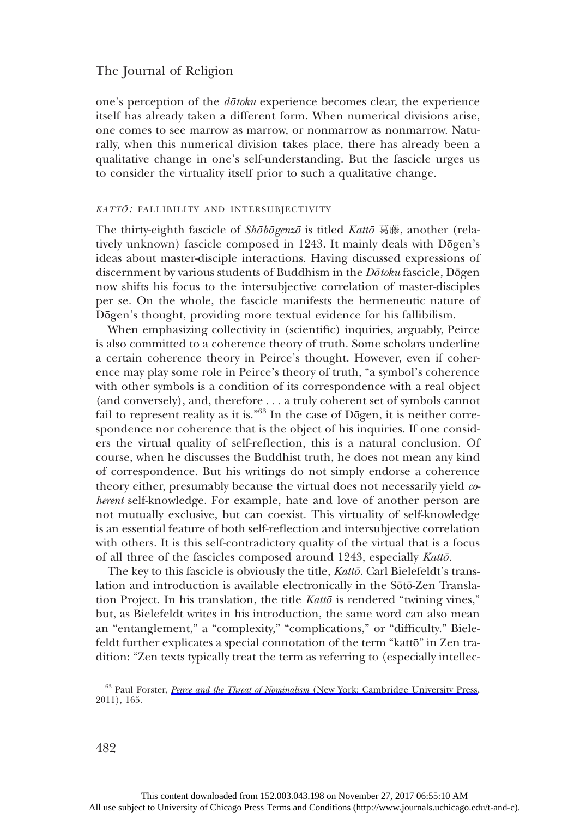one's perception of the dōtoku experience becomes clear, the experience itself has already taken a different form. When numerical divisions arise, one comes to see marrow as marrow, or nonmarrow as nonmarrow. Naturally, when this numerical division takes place, there has already been a qualitative change in one's self-understanding. But the fascicle urges us to consider the virtuality itself prior to such a qualitative change.

## KATT<sup>Ō</sup>: FALLIBILITY AND INTERSUBJECTIVITY

The thirty-eighth fascicle of Shōbōgenzō is titled Kattō 葛藤, another (relatively unknown) fascicle composed in 1243. It mainly deals with Dōgen's ideas about master-disciple interactions. Having discussed expressions of discernment by various students of Buddhism in the Dōtoku fascicle, Dōgen now shifts his focus to the intersubjective correlation of master-disciples per se. On the whole, the fascicle manifests the hermeneutic nature of Dōgen's thought, providing more textual evidence for his fallibilism.

When emphasizing collectivity in (scientific) inquiries, arguably, Peirce is also committed to a coherence theory of truth. Some scholars underline a certain coherence theory in Peirce's thought. However, even if coherence may play some role in Peirce's theory of truth, "a symbol's coherence with other symbols is a condition of its correspondence with a real object (and conversely), and, therefore ... a truly coherent set of symbols cannot fail to represent reality as it is."<sup>63</sup> In the case of Dōgen, it is neither correspondence nor coherence that is the object of his inquiries. If one considers the virtual quality of self-reflection, this is a natural conclusion. Of course, when he discusses the Buddhist truth, he does not mean any kind of correspondence. But his writings do not simply endorse a coherence theory either, presumably because the virtual does not necessarily yield coherent self-knowledge. For example, hate and love of another person are not mutually exclusive, but can coexist. This virtuality of self-knowledge is an essential feature of both self-reflection and intersubjective correlation with others. It is this self-contradictory quality of the virtual that is a focus of all three of the fascicles composed around 1243, especially Kattō.

The key to this fascicle is obviously the title, Kattō. Carl Bielefeldt's translation and introduction is available electronically in the Sōtō-Zen Translation Project. In his translation, the title  $Kat\bar{\sigma}$  is rendered "twining vines," but, as Bielefeldt writes in his introduction, the same word can also mean an "entanglement," a "complexity," "complications," or "difficulty." Bielefeldt further explicates a special connotation of the term "kattō" in Zen tradition: "Zen texts typically treat the term as referring to (especially intellec-

<sup>63</sup> Paul Forster, Peirce and the Threat of Nominalism [\(New York: Cambridge University Press,](http://www.journals.uchicago.edu/action/showLinks?doi=10.1086%2F687798&crossref=10.1017%2FCBO9780511921223&citationId=p_63) 2011), 165.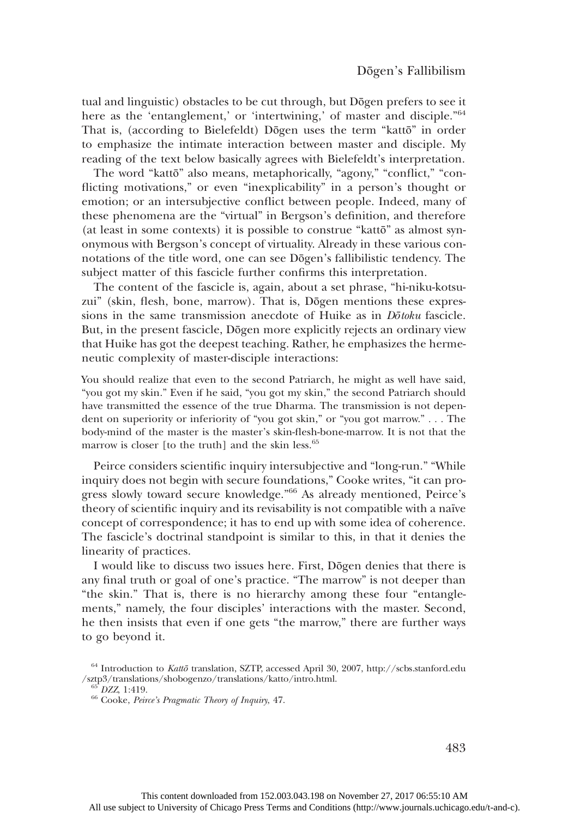tual and linguistic) obstacles to be cut through, but Dōgen prefers to see it here as the 'entanglement,' or 'intertwining,' of master and disciple."<sup>64</sup> That is, (according to Bielefeldt) Dōgen uses the term "kattō" in order to emphasize the intimate interaction between master and disciple. My reading of the text below basically agrees with Bielefeldt's interpretation.

The word "kattō" also means, metaphorically, "agony," "conflict," "conflicting motivations," or even "inexplicability" in a person's thought or emotion; or an intersubjective conflict between people. Indeed, many of these phenomena are the "virtual" in Bergson's definition, and therefore (at least in some contexts) it is possible to construe "kattō" as almost synonymous with Bergson's concept of virtuality. Already in these various connotations of the title word, one can see Dōgen's fallibilistic tendency. The subject matter of this fascicle further confirms this interpretation.

The content of the fascicle is, again, about a set phrase, "hi-niku-kotsuzui" (skin, flesh, bone, marrow). That is, Dōgen mentions these expressions in the same transmission anecdote of Huike as in *Dotoku* fascicle. But, in the present fascicle, Dōgen more explicitly rejects an ordinary view that Huike has got the deepest teaching. Rather, he emphasizes the hermeneutic complexity of master-disciple interactions:

You should realize that even to the second Patriarch, he might as well have said, "you got my skin." Even if he said, "you got my skin," the second Patriarch should have transmitted the essence of the true Dharma. The transmission is not dependent on superiority or inferiority of "you got skin," or "you got marrow." ... The body-mind of the master is the master's skin-flesh-bone-marrow. It is not that the marrow is closer [to the truth] and the skin less.<sup>65</sup>

Peirce considers scientific inquiry intersubjective and "long-run." "While inquiry does not begin with secure foundations," Cooke writes, "it can progress slowly toward secure knowledge." <sup>66</sup> As already mentioned, Peirce's theory of scientific inquiry and its revisability is not compatible with a naïve concept of correspondence; it has to end up with some idea of coherence. The fascicle's doctrinal standpoint is similar to this, in that it denies the linearity of practices.

I would like to discuss two issues here. First, Dōgen denies that there is any final truth or goal of one's practice. "The marrow" is not deeper than "the skin." That is, there is no hierarchy among these four "entanglements," namely, the four disciples' interactions with the master. Second, he then insists that even if one gets "the marrow," there are further ways to go beyond it.

 $^{64}$  Introduction to *Kattō* translation, SZTP, accessed April 30, 2007, http://scbs.stanford.edu/sztp3/translations/shobogenzo/translations/katto/intro.html.

 $^{65}$  DZZ, 1:419.<br> $^{66}$  Cooke, *Peirce's Pragmatic Theory of Inquiry*, 47.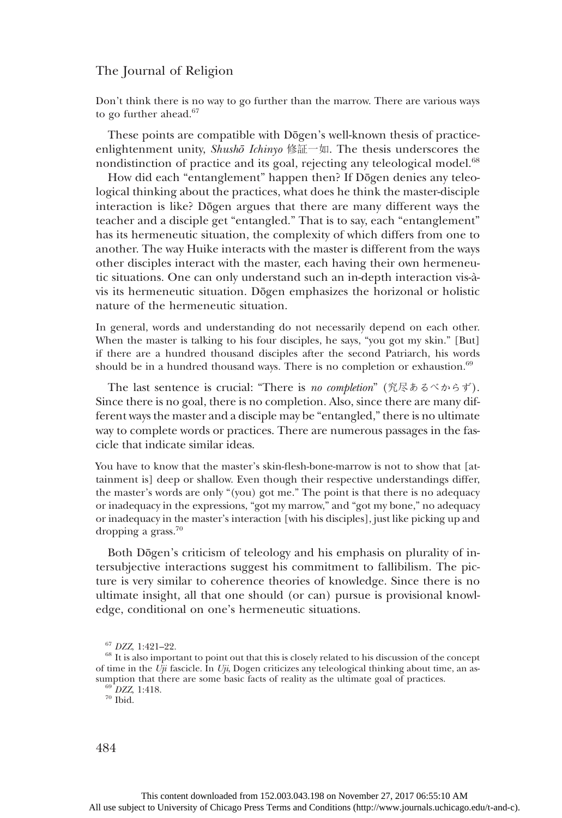Don't think there is no way to go further than the marrow. There are various ways to go further ahead.<sup>67</sup>

These points are compatible with Dōgen's well-known thesis of practiceenlightenment unity, Shushō Ichinyo 修証一如. The thesis underscores the nondistinction of practice and its goal, rejecting any teleological model.<sup>68</sup>

How did each "entanglement" happen then? If Dōgen denies any teleological thinking about the practices, what does he think the master-disciple interaction is like? Dōgen argues that there are many different ways the teacher and a disciple get "entangled." That is to say, each "entanglement" has its hermeneutic situation, the complexity of which differs from one to another. The way Huike interacts with the master is different from the ways other disciples interact with the master, each having their own hermeneutic situations. One can only understand such an in-depth interaction vis-àvis its hermeneutic situation. Dōgen emphasizes the horizonal or holistic nature of the hermeneutic situation.

In general, words and understanding do not necessarily depend on each other. When the master is talking to his four disciples, he says, "you got my skin." [But] if there are a hundred thousand disciples after the second Patriarch, his words should be in a hundred thousand ways. There is no completion or exhaustion.<sup>69</sup>

The last sentence is crucial: "There is no completion" (究尽あるべからず). Since there is no goal, there is no completion. Also, since there are many different ways the master and a disciple may be "entangled,"there is no ultimate way to complete words or practices. There are numerous passages in the fascicle that indicate similar ideas.

You have to know that the master's skin-flesh-bone-marrow is not to show that [attainment is] deep or shallow. Even though their respective understandings differ, the master's words are only "(you) got me." The point is that there is no adequacy or inadequacy in the expressions, "got my marrow," and "got my bone," no adequacy or inadequacy in the master's interaction [with his disciples], just like picking up and dropping a grass. $70$ 

Both Dōgen's criticism of teleology and his emphasis on plurality of intersubjective interactions suggest his commitment to fallibilism. The picture is very similar to coherence theories of knowledge. Since there is no ultimate insight, all that one should (or can) pursue is provisional knowledge, conditional on one's hermeneutic situations.

 $67$  DZZ, 1:421–22.<br> $68$  It is also important to point out that this is closely related to his discussion of the concept of time in the Uji fascicle. In Uji, Dogen criticizes any teleological thinking about time, an assumption that there are some basic facts of reality as the ultimate goal of practices.  $^{69}$  DZZ, 1:418.  $^{70}$  Ibid.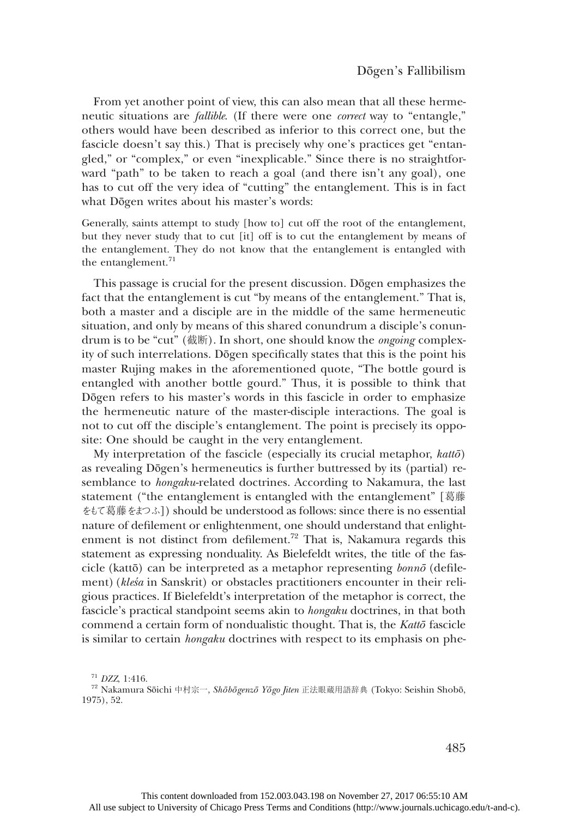From yet another point of view, this can also mean that all these hermeneutic situations are fallible. (If there were one correct way to "entangle," others would have been described as inferior to this correct one, but the fascicle doesn't say this.) That is precisely why one's practices get "entangled," or "complex," or even "inexplicable." Since there is no straightforward "path" to be taken to reach a goal (and there isn't any goal), one has to cut off the very idea of "cutting" the entanglement. This is in fact what Dōgen writes about his master's words:

Generally, saints attempt to study [how to] cut off the root of the entanglement, but they never study that to cut [it] off is to cut the entanglement by means of the entanglement. They do not know that the entanglement is entangled with the entanglement. $71$ 

This passage is crucial for the present discussion. Dōgen emphasizes the fact that the entanglement is cut "by means of the entanglement." That is, both a master and a disciple are in the middle of the same hermeneutic situation, and only by means of this shared conundrum a disciple's conundrum is to be "cut" (截断). In short, one should know the *ongoing* complexity of such interrelations. Dōgen specifically states that this is the point his master Rujing makes in the aforementioned quote, "The bottle gourd is entangled with another bottle gourd." Thus, it is possible to think that Dōgen refers to his master's words in this fascicle in order to emphasize the hermeneutic nature of the master-disciple interactions. The goal is not to cut off the disciple's entanglement. The point is precisely its opposite: One should be caught in the very entanglement.

My interpretation of the fascicle (especially its crucial metaphor, kattō) as revealing Dōgen's hermeneutics is further buttressed by its (partial) resemblance to hongaku-related doctrines. According to Nakamura, the last statement ("the entanglement is entangled with the entanglement" [葛藤 をもて葛藤をまつふ]) should be understood as follows: since there is no essential nature of defilement or enlightenment, one should understand that enlightenment is not distinct from defilement.<sup>72</sup> That is, Nakamura regards this statement as expressing nonduality. As Bielefeldt writes, the title of the fascicle (kattō) can be interpreted as a metaphor representing bonnō (defilement) (kleśa in Sanskrit) or obstacles practitioners encounter in their religious practices. If Bielefeldt's interpretation of the metaphor is correct, the fascicle's practical standpoint seems akin to hongaku doctrines, in that both commend a certain form of nondualistic thought. That is, the Kattō fascicle is similar to certain hongaku doctrines with respect to its emphasis on phe-

<sup>&</sup>lt;sup>71</sup> DZZ, 1:416.<br><sup>72</sup> Nakamura Sōichi 中村宗一, *Shōbōgenzō Yōgo Jiten* 正法眼蔵用語辞典 (Tokyo: Seishin Shobō, 1975), 52.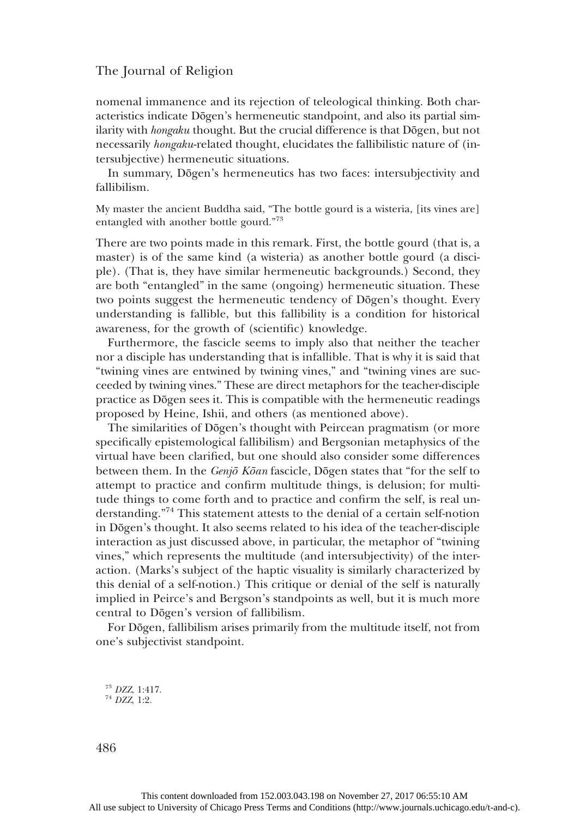nomenal immanence and its rejection of teleological thinking. Both characteristics indicate Dōgen's hermeneutic standpoint, and also its partial similarity with *hongaku* thought. But the crucial difference is that Dōgen, but not necessarily hongaku-related thought, elucidates the fallibilistic nature of (intersubjective) hermeneutic situations.

In summary, Dōgen's hermeneutics has two faces: intersubjectivity and fallibilism.

My master the ancient Buddha said, "The bottle gourd is a wisteria, [its vines are] entangled with another bottle gourd."<sup>73</sup>

There are two points made in this remark. First, the bottle gourd (that is, a master) is of the same kind (a wisteria) as another bottle gourd (a disciple). (That is, they have similar hermeneutic backgrounds.) Second, they are both "entangled" in the same (ongoing) hermeneutic situation. These two points suggest the hermeneutic tendency of Dōgen's thought. Every understanding is fallible, but this fallibility is a condition for historical awareness, for the growth of (scientific) knowledge.

Furthermore, the fascicle seems to imply also that neither the teacher nor a disciple has understanding that is infallible. That is why it is said that "twining vines are entwined by twining vines," and "twining vines are succeeded by twining vines." These are direct metaphors for the teacher-disciple practice as Dōgen sees it. This is compatible with the hermeneutic readings proposed by Heine, Ishii, and others (as mentioned above).

The similarities of Dōgen's thought with Peircean pragmatism (or more specifically epistemological fallibilism) and Bergsonian metaphysics of the virtual have been clarified, but one should also consider some differences between them. In the *Genjō Kōan* fascicle, Dōgen states that "for the self to attempt to practice and confirm multitude things, is delusion; for multitude things to come forth and to practice and confirm the self, is real understanding." <sup>74</sup> This statement attests to the denial of a certain self-notion in Dōgen's thought. It also seems related to his idea of the teacher-disciple interaction as just discussed above, in particular, the metaphor of "twining vines," which represents the multitude (and intersubjectivity) of the interaction. (Marks's subject of the haptic visuality is similarly characterized by this denial of a self-notion.) This critique or denial of the self is naturally implied in Peirce's and Bergson's standpoints as well, but it is much more central to Dōgen's version of fallibilism.

For Dōgen, fallibilism arises primarily from the multitude itself, not from one's subjectivist standpoint.

 $^{73}$  DZZ, 1:417.<br> $^{74}$  DZZ, 1:2.

486